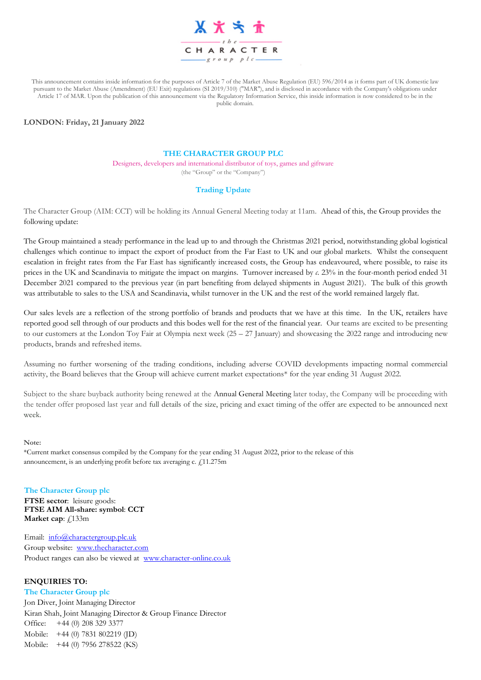

This announcement contains inside information for the purposes of Article 7 of the Market Abuse Regulation (EU) 596/2014 as it forms part of UK domestic law pursuant to the Market Abuse (Amendment) (EU Exit) regulations (SI 2019/310) ("MAR"), and is disclosed in accordance with the Company's obligations under Article 17 of MAR. Upon the publication of this announcement via the Regulatory Information Service, this inside information is now considered to be in the public domain.

## **LONDON: Friday, 21 January 2022**

## **THE CHARACTER GROUP PLC**

Designers, developers and international distributor of toys, games and giftware (the "Group" or the "Company")

## **Trading Update**

The Character Group (AIM: CCT) will be holding its Annual General Meeting today at 11am. Ahead of this, the Group provides the following update:

The Group maintained a steady performance in the lead up to and through the Christmas 2021 period, notwithstanding global logistical challenges which continue to impact the export of product from the Far East to UK and our global markets. Whilst the consequent escalation in freight rates from the Far East has significantly increased costs, the Group has endeavoured, where possible, to raise its prices in the UK and Scandinavia to mitigate the impact on margins. Turnover increased by *c.* 23% in the four-month period ended 31 December 2021 compared to the previous year (in part benefiting from delayed shipments in August 2021). The bulk of this growth was attributable to sales to the USA and Scandinavia, whilst turnover in the UK and the rest of the world remained largely flat.

Our sales levels are a reflection of the strong portfolio of brands and products that we have at this time. In the UK, retailers have reported good sell through of our products and this bodes well for the rest of the financial year. Our teams are excited to be presenting to our customers at the London Toy Fair at Olympia next week  $(25 - 27)$  January) and showcasing the 2022 range and introducing new products, brands and refreshed items.

Assuming no further worsening of the trading conditions, including adverse COVID developments impacting normal commercial activity, the Board believes that the Group will achieve current market expectations\* for the year ending 31 August 2022.

Subject to the share buyback authority being renewed at the Annual General Meeting later today, the Company will be proceeding with the tender offer proposed last year and full details of the size, pricing and exact timing of the offer are expected to be announced next week.

#### **Note:**

\*Current market consensus compiled by the Company for the year ending 31 August 2022, prior to the release of this announcement, is an underlying profit before tax averaging c.  $f<sub>i</sub>$ 11.275m

**The Character Group plc FTSE sector**: leisure goods: **FTSE AIM All-share: symbol**: **CCT Market cap:**  $f(133m)$ 

Email: [info@charactergroup.plc.uk](mailto:info@charactergroup.plc.uk) Group website: [www.thecharacter.com](http://www.thecharacter.com/)  Product ranges can also be viewed at [www.character-online.co.uk](http://www.character-online.co.uk/)

### **ENQUIRIES TO:**

**The Character Group plc** Jon Diver, Joint Managing Director Kiran Shah, Joint Managing Director & Group Finance Director Office: +44 (0) 208 329 3377 Mobile: +44 (0) 7831 802219 (JD) Mobile: +44 (0) 7956 278522 (KS)